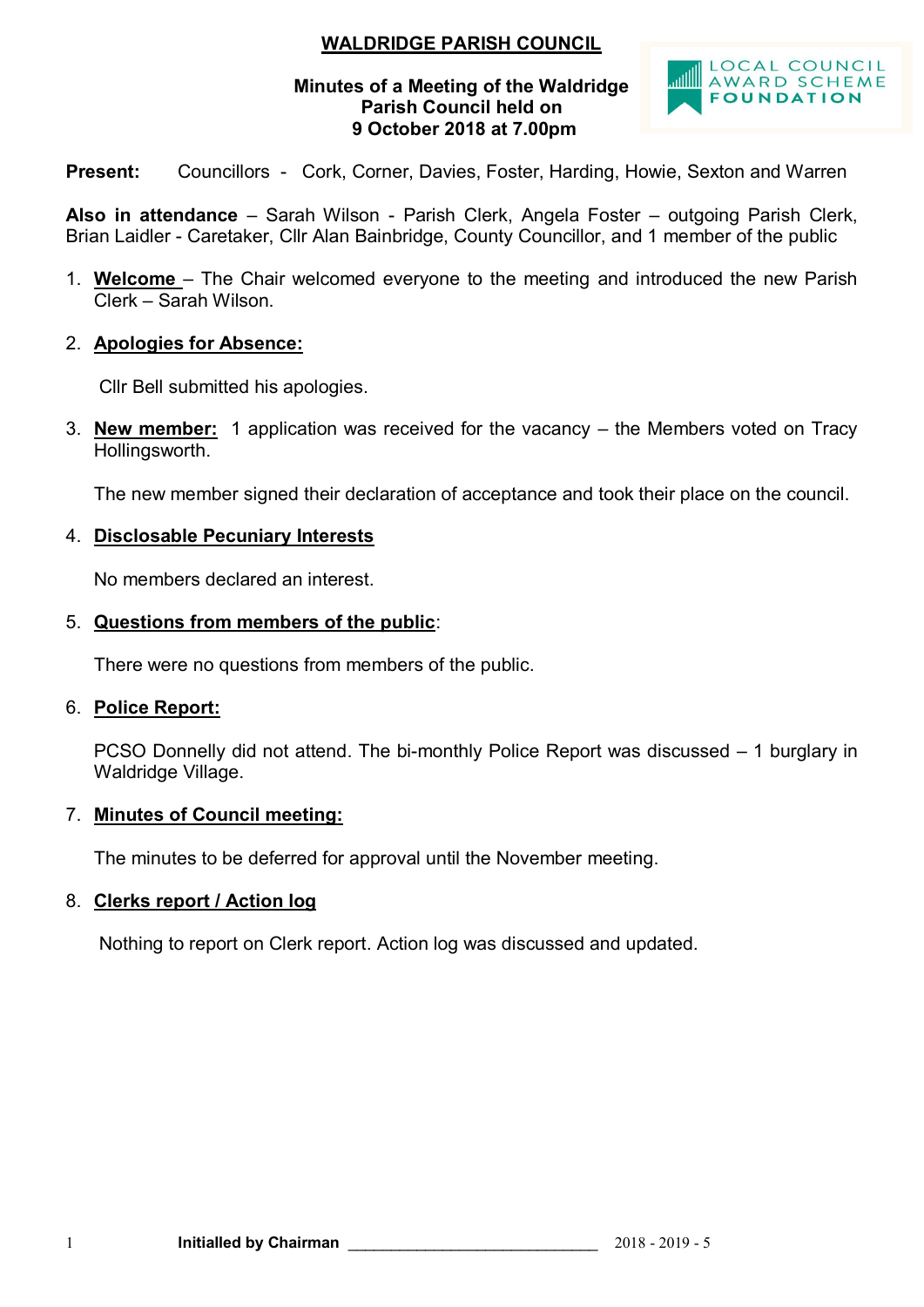# **WALDRIDGE PARISH COUNCIL**

### **Minutes of a Meeting of the Waldridge Parish Council held on 9 October 2018 at 7.00pm**



**Present:** Councillors - Cork, Corner, Davies, Foster, Harding, Howie, Sexton and Warren

**Also in attendance** – Sarah Wilson - Parish Clerk, Angela Foster – outgoing Parish Clerk, Brian Laidler - Caretaker, Cllr Alan Bainbridge, County Councillor, and 1 member of the public

- 1. **Welcome**  The Chair welcomed everyone to the meeting and introduced the new Parish Clerk – Sarah Wilson.
- 2. **Apologies for Absence:**

Cllr Bell submitted his apologies.

3. **New member:** 1 application was received for the vacancy – the Members voted on Tracy Hollingsworth.

The new member signed their declaration of acceptance and took their place on the council.

# 4. **Disclosable Pecuniary Interests**

No members declared an interest.

# 5. **Questions from members of the public**:

There were no questions from members of the public.

# 6. **Police Report:**

PCSO Donnelly did not attend. The bi-monthly Police Report was discussed – 1 burglary in Waldridge Village.

# 7. **Minutes of Council meeting:**

The minutes to be deferred for approval until the November meeting.

# 8. **Clerks report / Action log**

Nothing to report on Clerk report. Action log was discussed and updated.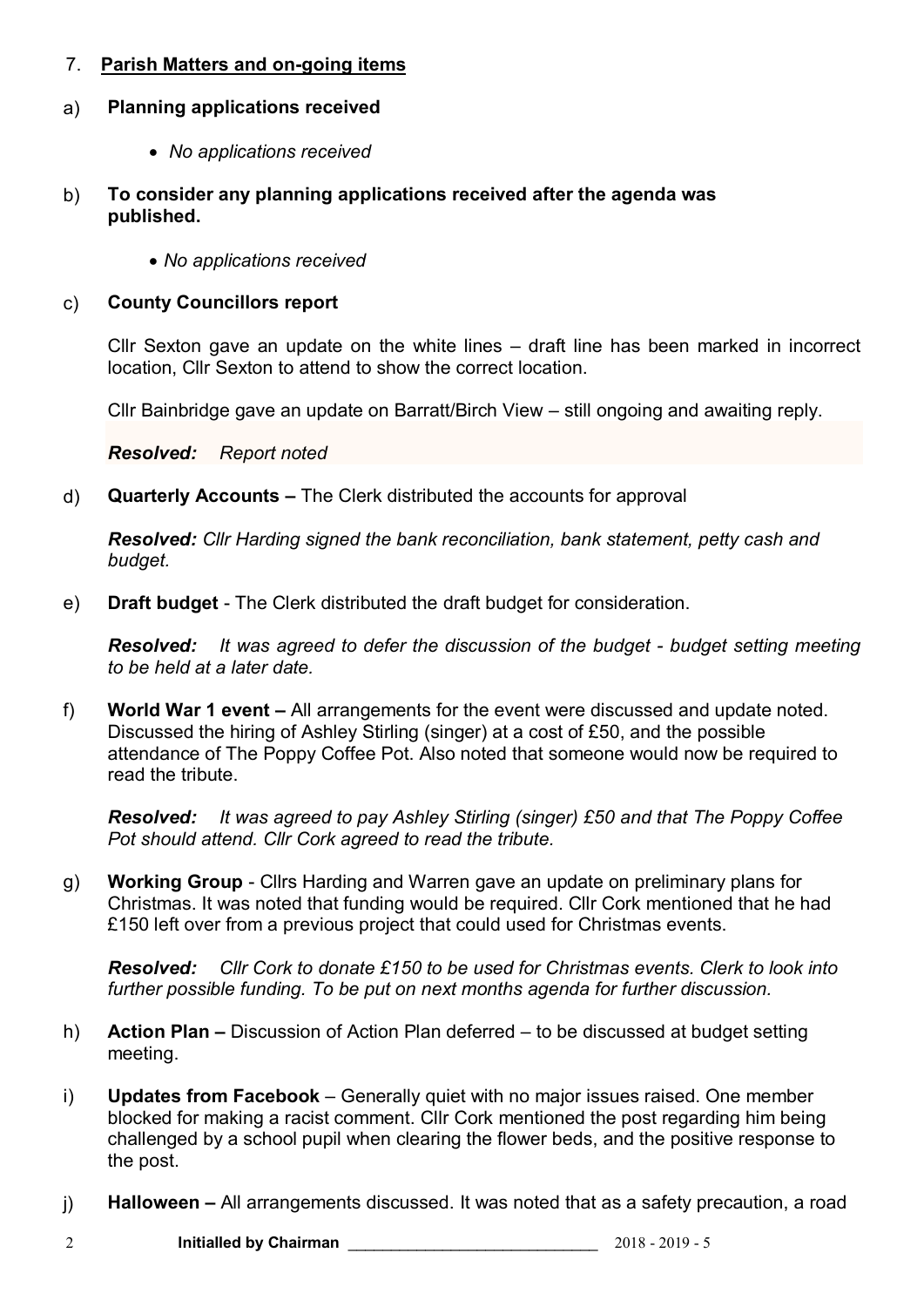# 7. **Parish Matters and on-going items**

## a) **Planning applications received**

- *No applications received*
- b) **To consider any planning applications received after the agenda was published.**
	- *No applications received*

### c) **County Councillors report**

Cllr Sexton gave an update on the white lines – draft line has been marked in incorrect location, Cllr Sexton to attend to show the correct location.

Cllr Bainbridge gave an update on Barratt/Birch View – still ongoing and awaiting reply.

*Resolved: Report noted*

d) **Quarterly Accounts –** The Clerk distributed the accounts for approval

*Resolved: Cllr Harding signed the bank reconciliation, bank statement, petty cash and budget.*

e) **Draft budget** - The Clerk distributed the draft budget for consideration.

*Resolved: It was agreed to defer the discussion of the budget - budget setting meeting to be held at a later date.*

f) **World War 1 event –** All arrangements for the event were discussed and update noted. Discussed the hiring of Ashley Stirling (singer) at a cost of £50, and the possible attendance of The Poppy Coffee Pot. Also noted that someone would now be required to read the tribute.

*Resolved: It was agreed to pay Ashley Stirling (singer) £50 and that The Poppy Coffee Pot should attend. Cllr Cork agreed to read the tribute.* 

g) **Working Group** - Cllrs Harding and Warren gave an update on preliminary plans for Christmas. It was noted that funding would be required. Cllr Cork mentioned that he had £150 left over from a previous project that could used for Christmas events.

*Resolved: Cllr Cork to donate £150 to be used for Christmas events. Clerk to look into further possible funding. To be put on next months agenda for further discussion.* 

- h) **Action Plan –** Discussion of Action Plan deferred to be discussed at budget setting meeting.
- i) **Updates from Facebook** Generally quiet with no major issues raised. One member blocked for making a racist comment. Cllr Cork mentioned the post regarding him being challenged by a school pupil when clearing the flower beds, and the positive response to the post.
- j) **Halloween –** All arrangements discussed. It was noted that as a safety precaution, a road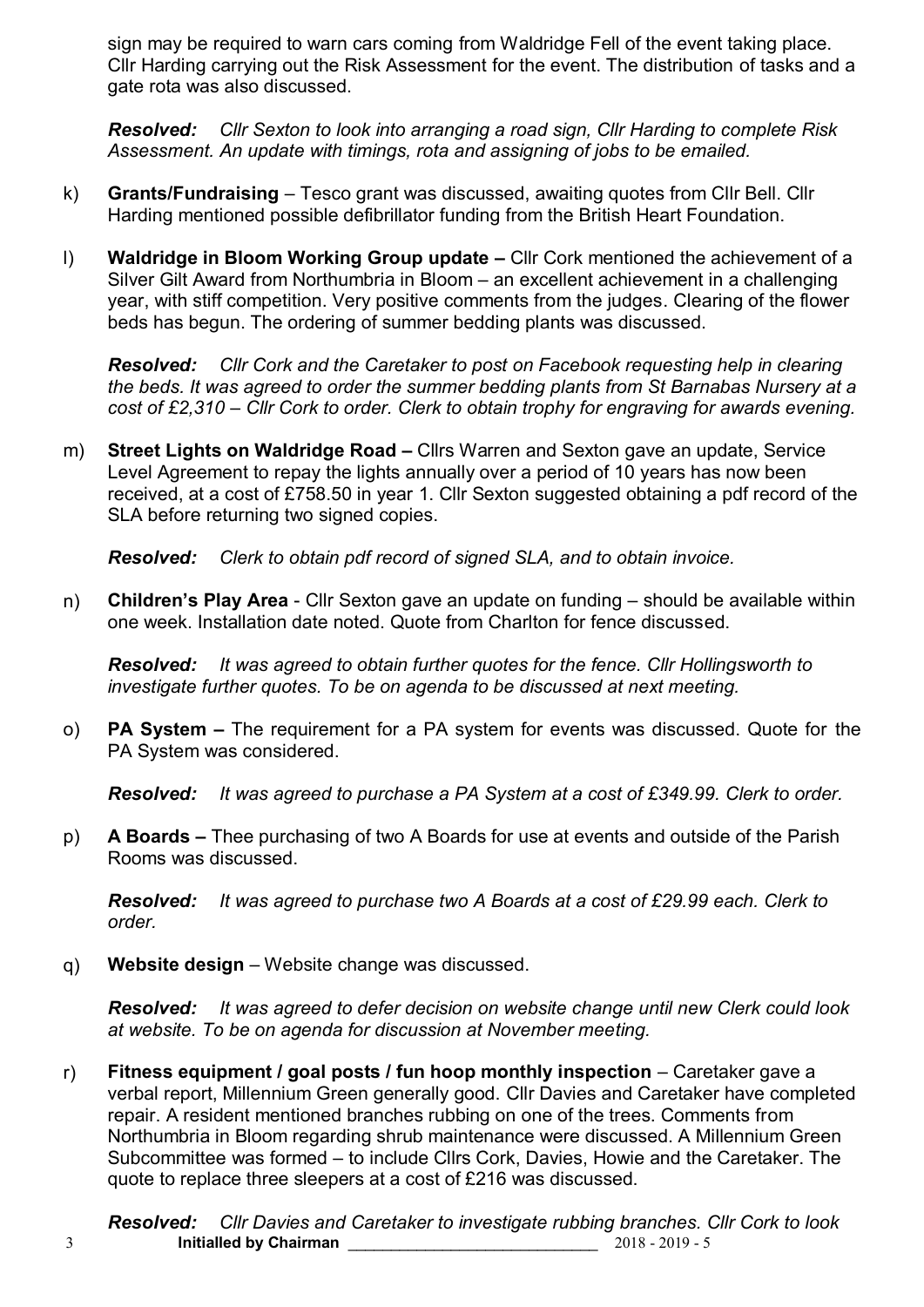sign may be required to warn cars coming from Waldridge Fell of the event taking place. Cllr Harding carrying out the Risk Assessment for the event. The distribution of tasks and a gate rota was also discussed.

*Resolved: Cllr Sexton to look into arranging a road sign, Cllr Harding to complete Risk Assessment. An update with timings, rota and assigning of jobs to be emailed.*

- k) **Grants/Fundraising** Tesco grant was discussed, awaiting quotes from Cllr Bell. Cllr Harding mentioned possible defibrillator funding from the British Heart Foundation.
- l) **Waldridge in Bloom Working Group update –** Cllr Cork mentioned the achievement of a Silver Gilt Award from Northumbria in Bloom – an excellent achievement in a challenging year, with stiff competition. Very positive comments from the judges. Clearing of the flower beds has begun. The ordering of summer bedding plants was discussed.

*Resolved: Cllr Cork and the Caretaker to post on Facebook requesting help in clearing the beds. It was agreed to order the summer bedding plants from St Barnabas Nursery at a cost of £2,310 – Cllr Cork to order. Clerk to obtain trophy for engraving for awards evening.*

m) **Street Lights on Waldridge Road –** Cllrs Warren and Sexton gave an update, Service Level Agreement to repay the lights annually over a period of 10 years has now been received, at a cost of £758.50 in year 1. Cllr Sexton suggested obtaining a pdf record of the SLA before returning two signed copies.

*Resolved: Clerk to obtain pdf record of signed SLA, and to obtain invoice.*

n) **Children's Play Area** - Cllr Sexton gave an update on funding – should be available within one week. Installation date noted. Quote from Charlton for fence discussed.

*Resolved: It was agreed to obtain further quotes for the fence. Cllr Hollingsworth to investigate further quotes. To be on agenda to be discussed at next meeting.*

o) **PA System –** The requirement for a PA system for events was discussed. Quote for the PA System was considered.

*Resolved: It was agreed to purchase a PA System at a cost of £349.99. Clerk to order.*

p) **A Boards –** Thee purchasing of two A Boards for use at events and outside of the Parish Rooms was discussed.

*Resolved: It was agreed to purchase two A Boards at a cost of £29.99 each. Clerk to order.*

q) **Website design** – Website change was discussed.

*Resolved: It was agreed to defer decision on website change until new Clerk could look at website. To be on agenda for discussion at November meeting.*

r) **Fitness equipment / goal posts / fun hoop monthly inspection** – Caretaker gave a verbal report, Millennium Green generally good. Cllr Davies and Caretaker have completed repair. A resident mentioned branches rubbing on one of the trees. Comments from Northumbria in Bloom regarding shrub maintenance were discussed. A Millennium Green Subcommittee was formed – to include Cllrs Cork, Davies, Howie and the Caretaker. The quote to replace three sleepers at a cost of £216 was discussed.

3 **Initialled by Chairman** \_\_\_\_\_\_\_\_\_\_\_\_\_\_\_\_\_\_\_\_\_\_\_\_\_\_\_\_\_ 2018 - 2019 - 5 *Resolved: Cllr Davies and Caretaker to investigate rubbing branches. Cllr Cork to look*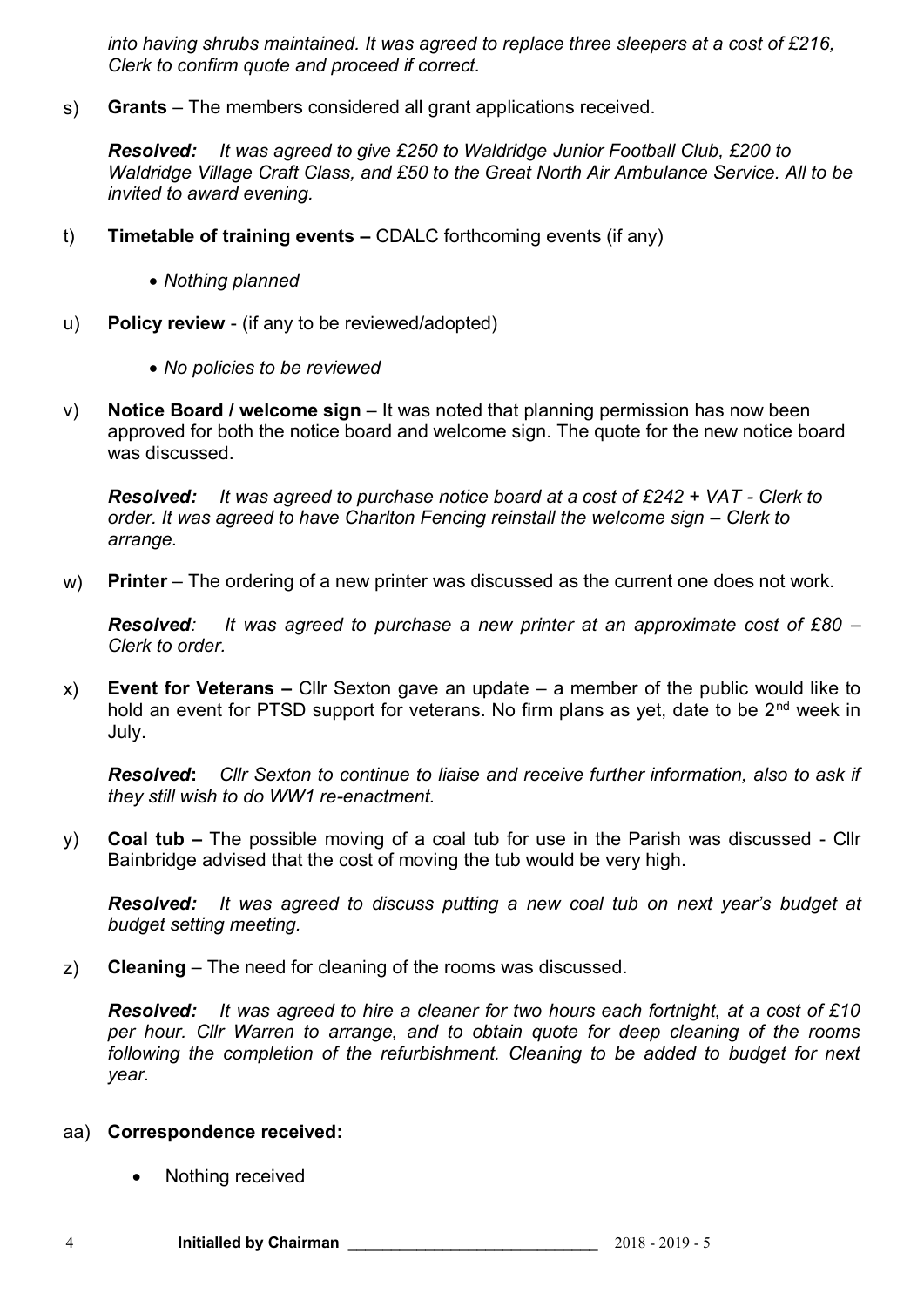*into having shrubs maintained. It was agreed to replace three sleepers at a cost of £216, Clerk to confirm quote and proceed if correct.* 

s) **Grants** – The members considered all grant applications received.

*Resolved: It was agreed to give £250 to Waldridge Junior Football Club, £200 to Waldridge Village Craft Class, and £50 to the Great North Air Ambulance Service. All to be invited to award evening.*

- t) **Timetable of training events –** CDALC forthcoming events (if any)
	- *Nothing planned*
- u) **Policy review**  (if any to be reviewed/adopted)
	- *No policies to be reviewed*
- v) **Notice Board / welcome sign** It was noted that planning permission has now been approved for both the notice board and welcome sign. The quote for the new notice board was discussed.

*Resolved: It was agreed to purchase notice board at a cost of £242 + VAT - Clerk to order. It was agreed to have Charlton Fencing reinstall the welcome sign – Clerk to arrange.*

w) **Printer** – The ordering of a new printer was discussed as the current one does not work.

*Resolved: It was agreed to purchase a new printer at an approximate cost of £80 – Clerk to order.*

x) **Event for Veterans –** Cllr Sexton gave an update – a member of the public would like to hold an event for PTSD support for veterans. No firm plans as yet, date to be  $2<sup>nd</sup>$  week in July.

*Resolved***:** *Cllr Sexton to continue to liaise and receive further information, also to ask if they still wish to do WW1 re-enactment.* 

y) **Coal tub –** The possible moving of a coal tub for use in the Parish was discussed - Cllr Bainbridge advised that the cost of moving the tub would be very high.

*Resolved: It was agreed to discuss putting a new coal tub on next year's budget at budget setting meeting.*

z) **Cleaning** – The need for cleaning of the rooms was discussed.

*Resolved: It was agreed to hire a cleaner for two hours each fortnight, at a cost of £10 per hour. Cllr Warren to arrange, and to obtain quote for deep cleaning of the rooms following the completion of the refurbishment. Cleaning to be added to budget for next year.*

### aa) **Correspondence received:**

Nothing received